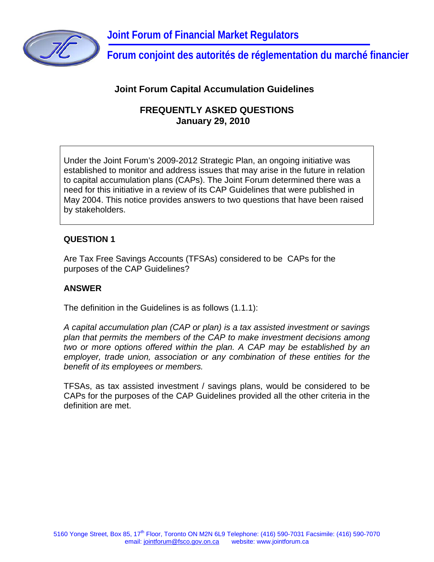

**Forum conjoint des autorités de réglementation du marché financier**

# **Joint Forum Capital Accumulation Guidelines**

## **FREQUENTLY ASKED QUESTIONS January 29, 2010**

Under the Joint Forum's 2009-2012 Strategic Plan, an ongoing initiative was established to monitor and address issues that may arise in the future in relation to capital accumulation plans (CAPs). The Joint Forum determined there was a need for this initiative in a review of its CAP Guidelines that were published in May 2004. This notice provides answers to two questions that have been raised by stakeholders.

### **QUESTION 1**

Are Tax Free Savings Accounts (TFSAs) considered to be CAPs for the purposes of the CAP Guidelines?

### **ANSWER**

The definition in the Guidelines is as follows (1.1.1):

*A capital accumulation plan (CAP or plan) is a tax assisted investment or savings plan that permits the members of the CAP to make investment decisions among two or more options offered within the plan. A CAP may be established by an employer, trade union, association or any combination of these entities for the benefit of its employees or members.* 

TFSAs, as tax assisted investment / savings plans, would be considered to be CAPs for the purposes of the CAP Guidelines provided all the other criteria in the definition are met.